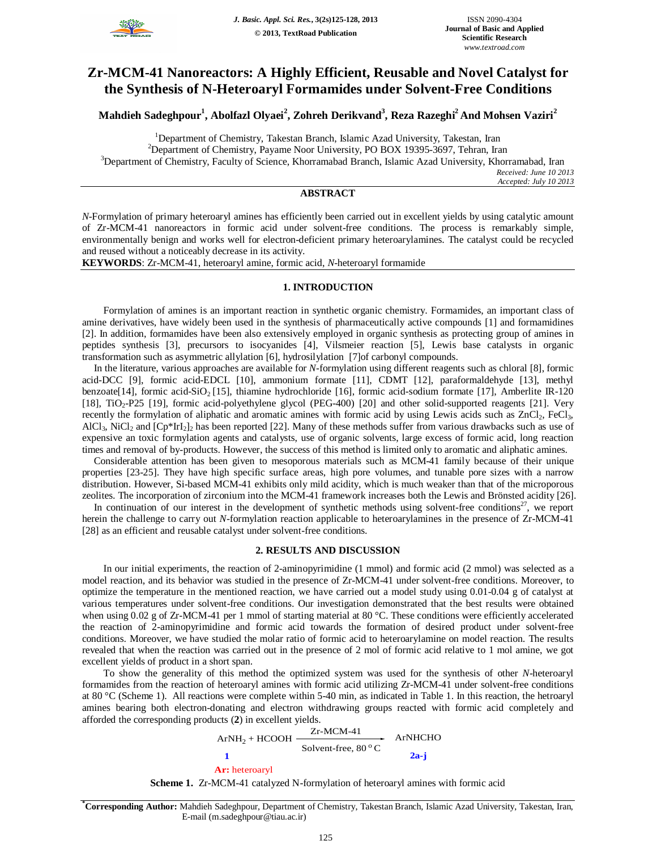

# **Zr-MCM-41 Nanoreactors: A Highly Efficient, Reusable and Novel Catalyst for the Synthesis of N-Heteroaryl Formamides under Solvent-Free Conditions**

**Mahdieh Sadeghpour<sup>1</sup> , Abolfazl Olyaei<sup>2</sup> , Zohreh Derikvand<sup>3</sup> , Reza Razeghi<sup>2</sup>And Mohsen Vaziri<sup>2</sup>**

<sup>1</sup>Department of Chemistry, Takestan Branch, Islamic Azad University, Takestan, Iran <sup>2</sup>Department of Chemistry, Payame Noor University, PO BOX 19395-3697, Tehran, Iran <sup>3</sup>Department of Chemistry, Faculty of Science, Khorramabad Branch, Islamic Azad University, Khorramabad, Iran *Received: June 10 2013 Accepted: July 10 2013*

# **ABSTRACT**

*N*-Formylation of primary heteroaryl amines has efficiently been carried out in excellent yields by using catalytic amount of Zr-MCM-41 nanoreactors in formic acid under solvent-free conditions. The process is remarkably simple, environmentally benign and works well for electron-deficient primary heteroarylamines. The catalyst could be recycled and reused without a noticeably decrease in its activity.

**KEYWORDS**: Zr-MCM-41, heteroaryl amine, formic acid, *N*-heteroaryl formamide

#### **1. INTRODUCTION**

Formylation of amines is an important reaction in synthetic organic chemistry. Formamides, an important class of amine derivatives, have widely been used in the synthesis of pharmaceutically active compounds [1] and formamidines [2]. In addition, formamides have been also extensively employed in organic synthesis as protecting group of amines in peptides synthesis [3], precursors to isocyanides [4], Vilsmeier reaction [5], Lewis base catalysts in organic transformation such as asymmetric allylation [6], hydrosilylation [7]of carbonyl compounds.

In the literature, various approaches are available for *N*-formylation using different reagents such as chloral [8], formic acid-DCC [9], formic acid-EDCL [10], ammonium formate [11], CDMT [12], paraformaldehyde [13], methyl benzoate[14], formic acid-SiO<sub>2</sub> [15], thiamine hydrochloride [16], formic acid-sodium formate [17], Amberlite IR-120 [18], TiO<sub>2</sub>-P25 [19], formic acid-polyethylene glycol (PEG-400) [20] and other solid-supported reagents [21]. Very recently the formylation of aliphatic and aromatic amines with formic acid by using Lewis acids such as  $ZnCl_2$ , FeCl<sub>3</sub>, AlCl<sub>3</sub>, NiCl<sub>2</sub> and  $[CP^*IrI_2]_2$  has been reported [22]. Many of these methods suffer from various drawbacks such as use of expensive an toxic formylation agents and catalysts, use of organic solvents, large excess of formic acid, long reaction times and removal of by-products. However, the success of this method is limited only to aromatic and aliphatic amines.

Considerable attention has been given to mesoporous materials such as MCM-41 family because of their unique properties [23-25]. They have high specific surface areas, high pore volumes, and tunable pore sizes with a narrow distribution. However, Si-based MCM-41 exhibits only mild acidity, which is much weaker than that of the microporous zeolites. The incorporation of zirconium into the MCM-41 framework increases both the Lewis and Brönsted acidity [26].

In continuation of our interest in the development of synthetic methods using solvent-free conditions<sup>27</sup>, we report herein the challenge to carry out *N*-formylation reaction applicable to heteroarylamines in the presence of Zr-MCM-41 [28] as an efficient and reusable catalyst under solvent-free conditions.

#### **2. RESULTS AND DISCUSSION**

In our initial experiments, the reaction of 2-aminopyrimidine (1 mmol) and formic acid (2 mmol) was selected as a model reaction, and its behavior was studied in the presence of Zr-MCM-41 under solvent-free conditions. Moreover, to optimize the temperature in the mentioned reaction, we have carried out a model study using 0.01-0.04 g of catalyst at various temperatures under solvent-free conditions. Our investigation demonstrated that the best results were obtained when using 0.02 g of Zr-MCM-41 per 1 mmol of starting material at 80 °C. These conditions were efficiently accelerated the reaction of 2-aminopyrimidine and formic acid towards the formation of desired product under solvent-free conditions. Moreover, we have studied the molar ratio of formic acid to heteroarylamine on model reaction. The results revealed that when the reaction was carried out in the presence of 2 mol of formic acid relative to 1 mol amine, we got excellent yields of product in a short span.

To show the generality of this method the optimized system was used for the synthesis of other *N*-heteroaryl formamides from the reaction of heteroaryl amines with formic acid utilizing Zr-MCM-41 under solvent-free conditions at 80 °C (Scheme 1). All reactions were complete within 5-40 min, as indicated in Table 1. In this reaction, the hetroaryl amines bearing both electron-donating and electron withdrawing groups reacted with formic acid completely and afforded the corresponding products (**2**) in excellent yields.

ArNH<sub>2</sub> + HCOOH 
$$
\xrightarrow{\text{Zr-MCM-41}} \text{ArNHCHO}
$$
3olvent-free, 80 °C  
2a-j  
Ar: heteroaryl

**Scheme 1.** Zr-MCM-41 catalyzed N-formylation of heteroaryl amines with formic acid

**\*Corresponding Author:** Mahdieh Sadeghpour, Department of Chemistry, Takestan Branch, Islamic Azad University, Takestan, Iran, E-mail (m.sadeghpour@tiau.ac.ir)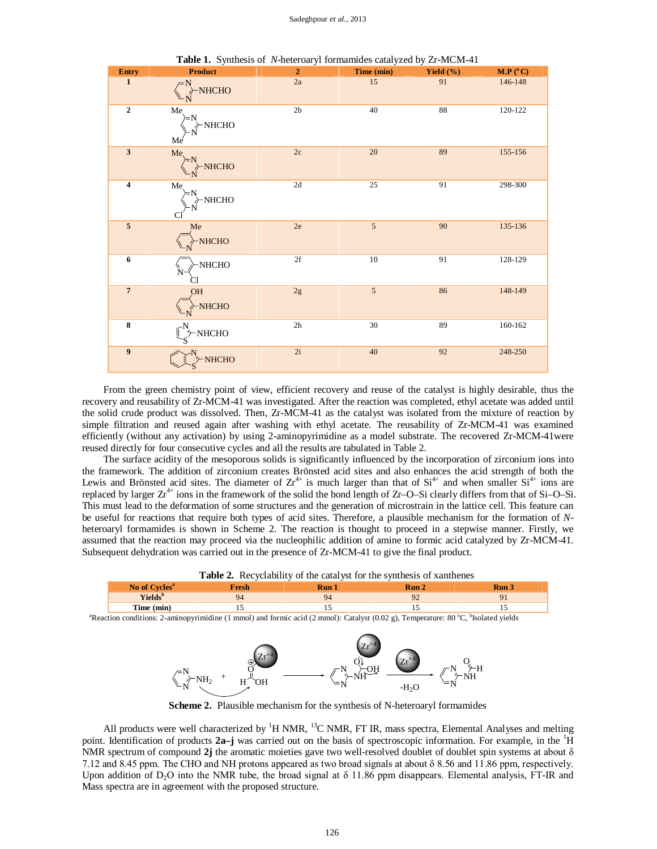| Entry            | <b>Product</b>                                                                    | $\overline{2}$             | ---- ------ <i>-,</i> -- <i>- - ,</i><br>Time (min) | $        -$<br>Yield $(\% )$ | M.P (°C) |
|------------------|-----------------------------------------------------------------------------------|----------------------------|-----------------------------------------------------|------------------------------|----------|
| $\mathbf{1}$     | $\begin{array}{c}\n\begin{array}{c}\n\diagup N \\ \diagdown N\n\end{array}$ NHCHO | $2\mathrm{a}$              | 15                                                  | 91                           | 146-148  |
| $\overline{2}$   | $\overline{Me}$<br>$\overline{N}$<br>$\overline{N}$<br>NHCHO<br>Me                | 2 <sub>b</sub>             | 40                                                  | 88                           | 120-122  |
| $\mathbf{3}$     | $Me$<br>$M$<br>$\rightarrow N$<br>$N$<br>NHCHO                                    | $2\mathrm{c}$              | 20                                                  | 89                           | 155-156  |
| $\boldsymbol{4}$ | Me <sub>1</sub><br>$\varepsilon > N$<br>$\rightarrow$ NHCHO                       | 2d                         | 25                                                  | 91                           | 298-300  |
| $\overline{5}$   | Me<br>$\rightarrow$ NHCHO                                                         | $2\mathrm{e}$              | $\overline{5}$                                      | 90                           | 135-136  |
| $\boldsymbol{6}$ | $\nu$ NHCHO<br>Ñ.                                                                 | $2\ensuremath{\mathrm{f}}$ | 10                                                  | 91                           | 128-129  |
| $\overline{7}$   | <b>HQ</b><br>$\rightarrow$ NHCHO                                                  | $2\mathrm{g}$              | $\overline{5}$                                      | 86                           | 148-149  |
| $\bf 8$          | $\begin{bmatrix} N \\ S \end{bmatrix}$ -NHCHO                                     | $2\mathrm{h}$              | 30                                                  | 89                           | 160-162  |
| 9                | NHCHO                                                                             | 2i                         | 40                                                  | 92                           | 248-250  |

**Table 1.** Synthesis of *N*-heteroaryl formamides catalyzed by Zr-MCM-41

From the green chemistry point of view, efficient recovery and reuse of the catalyst is highly desirable, thus the recovery and reusability of Zr-MCM-41 was investigated. After the reaction was completed, ethyl acetate was added until the solid crude product was dissolved. Then, Zr-MCM-41 as the catalyst was isolated from the mixture of reaction by simple filtration and reused again after washing with ethyl acetate. The reusability of Zr-MCM-41 was examined efficiently (without any activation) by using 2-aminopyrimidine as a model substrate. The recovered Zr-MCM-41were reused directly for four consecutive cycles and all the results are tabulated in Table 2.

The surface acidity of the mesoporous solids is significantly influenced by the incorporation of zirconium ions into the framework. The addition of zirconium creates Brönsted acid sites and also enhances the acid strength of both the Lewis and Brönsted acid sites. The diameter of  $Zr^{4+}$  is much larger than that of  $Si^{4+}$  and when smaller  $Si^{4+}$  ions are replaced by larger  $Zr^{4+}$  ions in the framework of the solid the bond length of  $Zr$ –O–Si clearly differs from that of Si–O–Si. This must lead to the deformation of some structures and the generation of microstrain in the lattice cell. This feature can be useful for reactions that require both types of acid sites. Therefore, a plausible mechanism for the formation of *N*heteroaryl formamides is shown in Scheme 2. The reaction is thought to proceed in a stepwise manner. Firstly, we assumed that the reaction may proceed via the nucleophilic addition of amine to formic acid catalyzed by Zr-MCM-41. Subsequent dehydration was carried out in the presence of Zr-MCM-41 to give the final product.

**Table 2.** Recyclability of the catalyst for the synthesis of xanthenes **No of Cycles<sup>a</sup> Fresh Run 1 Run 2 Run 3 Yields<sup>b</sup>** 94 92 91 **Time (min)** 15 15 15 15 15

<sup>a</sup>Reaction conditions: 2-aminopyrimidine (1 mmol) and formic acid (2 mmol): Catalyst (0.02 g), Temperature: 80 °C, <sup>b</sup>Isolated yields



**Scheme 2.** Plausible mechanism for the synthesis of N-heteroaryl formamides

All products were well characterized by  ${}^{1}H$  NMR,  ${}^{13}C$  NMR, FT IR, mass spectra, Elemental Analyses and melting point. Identification of products **2a–j** was carried out on the basis of spectroscopic information. For example, in the <sup>1</sup>H NMR spectrum of compound **2j** the aromatic moieties gave two well-resolved doublet of doublet spin systems at about δ 7.12 and 8.45 ppm. The CHO and NH protons appeared as two broad signals at about δ 8.56 and 11.86 ppm, respectively. Upon addition of D<sub>2</sub>O into the NMR tube, the broad signal at  $\delta$  11.86 ppm disappears. Elemental analysis, FT-IR and Mass spectra are in agreement with the proposed structure.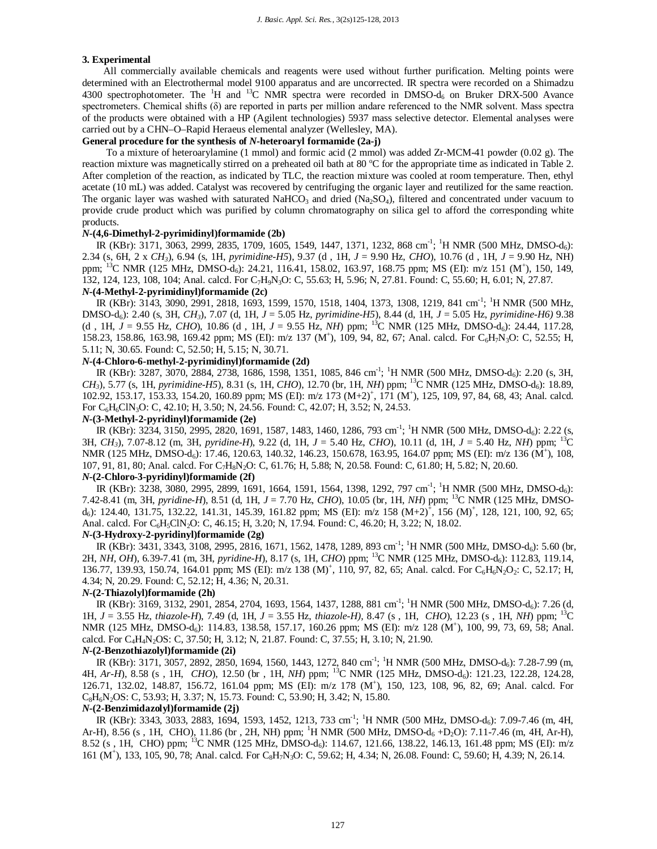# **3. Experimental**

All commercially available chemicals and reagents were used without further purification. Melting points were determined with an Electrothermal model 9100 apparatus and are uncorrected. IR spectra were recorded on a Shimadzu 4300 spectrophotometer. The  ${}^{1}H$  and  ${}^{13}C$  NMR spectra were recorded in DMSO-d<sub>6</sub> on Bruker DRX-500 Avance spectrometers. Chemical shifts (δ) are reported in parts per million andare referenced to the NMR solvent. Mass spectra of the products were obtained with a HP (Agilent technologies) 5937 mass selective detector. Elemental analyses were carried out by a CHN–O–Rapid Heraeus elemental analyzer (Wellesley, MA).

## **General procedure for the synthesis of** *N***-heteroaryl formamide (2a-j)**

To a mixture of heteroarylamine (1 mmol) and formic acid (2 mmol) was added Zr-MCM-41 powder (0.02 g). The reaction mixture was magnetically stirred on a preheated oil bath at 80 °C for the appropriate time as indicated in Table 2. After completion of the reaction, as indicated by TLC, the reaction mixture was cooled at room temperature. Then, ethyl acetate (10 mL) was added. Catalyst was recovered by centrifuging the organic layer and reutilized for the same reaction. The organic layer was washed with saturated NaHCO<sub>3</sub> and dried (Na<sub>2</sub>SO<sub>4</sub>), filtered and concentrated under vacuum to provide crude product which was purified by column chromatography on silica gel to afford the corresponding white products.

#### *N***-(4,6-Dimethyl-2-pyrimidinyl)formamide (2b)**

IR (KBr): 3171, 3063, 2999, 2835, 1709, 1605, 1549, 1447, 1371, 1232, 868 cm<sup>-1</sup>; <sup>1</sup>H NMR (500 MHz, DMSO-d<sub>6</sub>): 2.34 (s, 6H, 2 x *CH3*), 6.94 (s, 1H, *pyrimidine-H5*), 9.37 (d , 1H, *J* = 9.90 Hz, *CHO*), 10.76 (d , 1H, *J* = 9.90 Hz, NH) ppm; <sup>13</sup>C NMR (125 MHz, DMSO-d<sub>6</sub>): 24.21, 116.41, 158.02, 163.97, 168.75 ppm; MS (EI): m/z 151 (M<sup>+</sup>), 150, 149, 132, 124, 123, 108, 104; Anal. calcd. For C7H9N3O: C, 55.63; H, 5.96; N, 27.81. Found: C, 55.60; H, 6.01; N, 27.87.

# *N***-(4-Methyl-2-pyrimidinyl)formamide (2c)**

IR (KBr): 3143, 3090, 2991, 2818, 1693, 1599, 1570, 1518, 1404, 1373, 1308, 1219, 841 cm<sup>-1</sup>; <sup>1</sup>H NMR (500 MHz, DMSO-d6): 2.40 (s, 3H, *CH3*), 7.07 (d, 1H, *J* = 5.05 Hz, *pyrimidine-H5*), 8.44 (d, 1H, *J* = 5.05 Hz, *pyrimidine-H6)* 9.38 (d, 1H,  $J = 9.55$  Hz, *CHO*), 10.86 (d, 1H,  $J = 9.55$  Hz, *NH*) ppm; <sup>13</sup>C NMR (125 MHz, DMSO-d<sub>6</sub>): 24.44, 117.28, 158.23, 158.86, 163.98, 169.42 ppm; MS (EI): m/z 137 (M<sup>+</sup>), 109, 94, 82, 67; Anal. calcd. For C<sub>6</sub>H<sub>7</sub>N<sub>3</sub>O: C, 52.55; H, 5.11; N, 30.65. Found: C, 52.50; H, 5.15; N, 30.71.

### *N***-(4-Chloro-6-methyl-2-pyrimidinyl)formamide (2d)**

IR (KBr): 3287, 3070, 2884, 2738, 1686, 1598, 1351, 1085, 846 cm<sup>-1</sup>; <sup>1</sup>H NMR (500 MHz, DMSO-d<sub>6</sub>): 2.20 (s, 3H, *CH*<sub>3</sub>), 5.77 (s, 1H, *pyrimidine-H5*), 8.31 (s, 1H, *CHO*), 12.70 (br, 1H, *NH*) ppm; <sup>13</sup>C NMR (125 MHz, DMSO-d<sub>6</sub>): 18.89, 102.92, 153.17, 153.33, 154.20, 160.89 ppm; MS (EI): m/z 173 (M+2)<sup>+</sup>, 171 (M<sup>+</sup>), 125, 109, 97, 84, 68, 43; Anal. calcd. For C6H6ClN3O: C, 42.10; H, 3.50; N, 24.56. Found: C, 42.07; H, 3.52; N, 24.53.

# *N***-(3-Methyl-2-pyridinyl)formamide (2e)**

IR (KBr): 3234, 3150, 2995, 2820, 1691, 1587, 1483, 1460, 1286, 793 cm<sup>-1</sup>; <sup>1</sup>H NMR (500 MHz, DMSO-d<sub>6</sub>): 2.22 (s, 3H, *CH3*), 7.07-8.12 (m, 3H, *pyridine-H*), 9.22 (d, 1H, *J* = 5.40 Hz, *CHO*), 10.11 (d, 1H, *J* = 5.40 Hz, *NH*) ppm; <sup>13</sup>C NMR (125 MHz, DMSO-d<sub>6</sub>): 17.46, 120.63, 140.32, 146.23, 150.678, 163.95, 164.07 ppm; MS (EI): m/z 136 (M<sup>+</sup>), 108, 107, 91, 81, 80; Anal. calcd. For C7H8N2O: C, 61.76; H, 5.88; N, 20.58. Found: C, 61.80; H, 5.82; N, 20.60. *N***-(2-Chloro-3-pyridinyl)formamide (2f)**

IR (KBr): 3238, 3080, 2995, 2899, 1691, 1664, 1591, 1564, 1398, 1292, 797 cm<sup>-1</sup>; <sup>1</sup>H NMR (500 MHz, DMSO-d<sub>6</sub>): 7.42-8.41 (m, 3H, *pyridine-H*), 8.51 (d, 1H, *J* = 7.70 Hz, *CHO*), 10.05 (br, 1H, *NH*) ppm; <sup>13</sup>C NMR (125 MHz, DMSOd<sub>6</sub>): 124.40, 131.75, 132.22, 141.31, 145.39, 161.82 ppm; MS (EI): m/z 158 (M+2)<sup>+</sup>, 156 (M)<sup>+</sup>, 128, 121, 100, 92, 65; Anal. calcd. For C<sub>6</sub>H<sub>5</sub>ClN<sub>2</sub>O: C, 46.15; H, 3.20; N, 17.94. Found: C, 46.20; H, 3.22; N, 18.02.

#### *N***-(3-Hydroxy-2-pyridinyl)formamide (2g)**

IR (KBr): 3431, 3343, 3108, 2995, 2816, 1671, 1562, 1478, 1289, 893 cm<sup>-1</sup>; <sup>1</sup>H NMR (500 MHz, DMSO-d<sub>6</sub>): 5.60 (br, 2H, *NH, OH*), 6.39-7.41 (m, 3H, *pyridine-H*), 8.17 (s, 1H, *CHO*) ppm; <sup>13</sup>C NMR (125 MHz, DMSO-d6): 112.83, 119.14, 136.77, 139.93, 150.74, 164.01 ppm; MS (EI): m/z 138 (M)<sup>+</sup>, 110, 97, 82, 65; Anal. calcd. For C<sub>6</sub>H<sub>6</sub>N<sub>2</sub>O<sub>2</sub>: C, 52.17; H, 4.34; N, 20.29. Found: C, 52.12; H, 4.36; N, 20.31.

#### *N***-(2-Thiazolyl)formamide (2h)**

IR (KBr): 3169, 3132, 2901, 2854, 2704, 1693, 1564, 1437, 1288, 881 cm<sup>-1</sup>; <sup>1</sup>H NMR (500 MHz, DMSO-d<sub>6</sub>): 7.26 (d, 1H, *J* = 3.55 Hz, *thiazole-H*), 7.49 (d, 1H, *J* = 3.55 Hz, *thiazole-H),* 8.47 (s , 1H, *CHO*), 12.23 (s , 1H, *NH*) ppm; <sup>13</sup>C NMR (125 MHz, DMSO-d<sub>6</sub>): 114.83, 138.58, 157.17, 160.26 ppm; MS (EI): m/z 128 (M<sup>+</sup>), 100, 99, 73, 69, 58; Anal. calcd. For C4H4N2OS: C, 37.50; H, 3.12; N, 21.87. Found: C, 37.55; H, 3.10; N, 21.90.

### *N***-(2-Benzothiazolyl)formamide (2i)**

IR (KBr): 3171, 3057, 2892, 2850, 1694, 1560, 1443, 1272, 840 cm<sup>-1</sup>; <sup>1</sup>H NMR (500 MHz, DMSO-d<sub>6</sub>): 7.28-7.99 (m, 4H, *Ar-H*), 8.58 (s, 1H, *CHO*), 12.50 (br, 1H, *NH*) ppm; <sup>13</sup>C NMR (125 MHz, DMSO-d<sub>6</sub>): 121.23, 122.28, 124.28, 126.71, 132.02, 148.87, 156.72, 161.04 ppm; MS (EI): m/z 178 (M<sup>+</sup>), 150, 123, 108, 96, 82, 69; Anal. calcd. For C8H6N2OS: C, 53.93; H, 3.37; N, 15.73. Found: C, 53.90; H, 3.42; N, 15.80.

# *N***-(2-Benzimidazolyl)formamide (2j)**

IR (KBr): 3343, 3033, 2883, 1694, 1593, 1452, 1213, 733 cm<sup>-1</sup>; <sup>1</sup>H NMR (500 MHz, DMSO-d<sub>6</sub>): 7.09-7.46 (m, 4H, Ar-H), 8.56 (s, 1H, CHO), 11.86 (br, 2H, NH) ppm; <sup>1</sup>H NMR (500 MHz, DMSO-d<sub>6</sub> +D<sub>2</sub>O): 7.11-7.46 (m, 4H, Ar-H), 8.52 (s, 1H, CHO) ppm; <sup>13</sup>C NMR (125 MHz, DMSO-d<sub>6</sub>): 114.67, 121.66, 138.22, 146.13, 161.48 ppm; MS (EI): m/z 161 (M<sup>+</sup>), 133, 105, 90, 78; Anal. calcd. For C<sub>8</sub>H<sub>7</sub>N<sub>3</sub>O: C, 59.62; H, 4.34; N, 26.08. Found: C, 59.60; H, 4.39; N, 26.14.